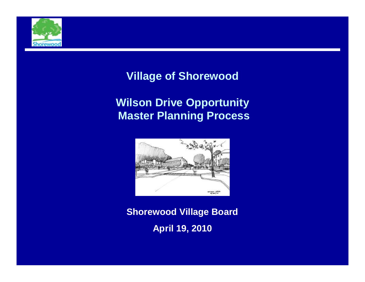

### **Village of Shorewood**

### **Wilson Drive Opportunity Master Planning Process**



**Shorewood Village Board April 19, 2010**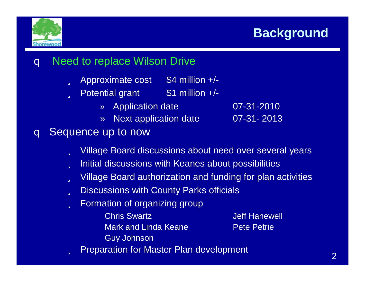



### q Need to replace Wilson Drive

- ü Approximate cost \$4 million +/-
- $\ddot{u}$  Potential grant  $\ddot{s}$ 1 million +/-
	- » Application date 07-31-2010
	- » Next application date 07-31- 2013

### q Sequence up to now

- ü Village Board discussions about need over several years
- ü Initial discussions with Keanes about possibilities
- ü Village Board authorization and funding for plan activities
- ü Discussions with County Parks officials
- ü Formation of organizing group
	- **Chris Swartz Jeff Hanewell** Mark and Linda Keane **Pete Petrie** Guy Johnson

ü Preparation for Master Plan development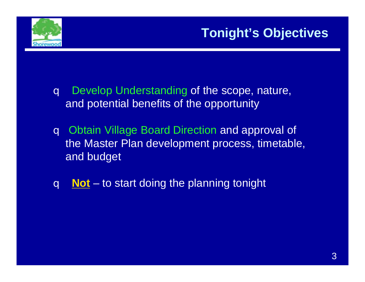

# **Tonight's Objectives**

- q Develop Understanding of the scope, nature, and potential benefits of the opportunity
- q Obtain Village Board Direction and approval of the Master Plan development process, timetable, and budget
- q **Not** to start doing the planning tonight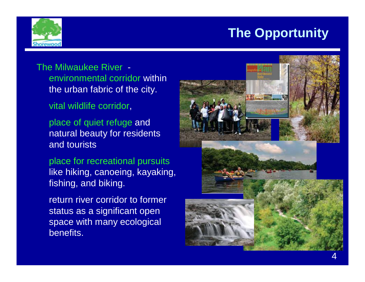

The Milwaukee River environmental corridor within the urban fabric of the city.

vital wildlife corridor,

place of quiet refuge and natural beauty for residents and tourists

place for recreational pursuits like hiking, canoeing, kayaking, fishing, and biking.

return river corridor to former status as a significant open space with many ecological benefits.

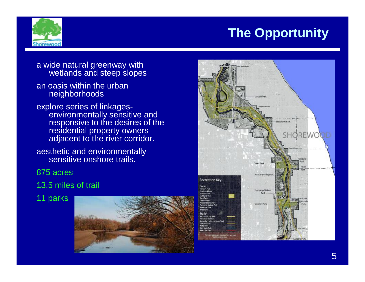

- a wide natural greenway with wetlands and steep slopes
- an oasis within the urban neighborhoods
- explore series of linkagesenvironmentally sensitive and responsive to the desires of the residential property owners adjacent to the river corridor.
- aesthetic and environmentally sensitive onshore trails.
- 875 acres
- 13.5 miles of trail
- 11 parks



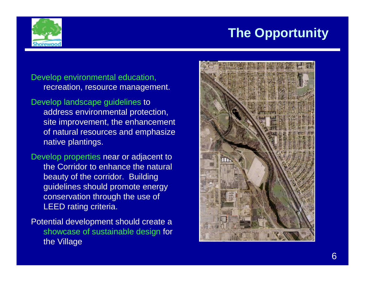

### Develop environmental education, recreation, resource management.

- Develop landscape guidelines to address environmental protection, site improvement, the enhancement of natural resources and emphasize native plantings.
- Develop properties near or adjacent to the Corridor to enhance the natural beauty of the corridor. Building guidelines should promote energy conservation through the use of LEED rating criteria.
- Potential development should create a showcase of sustainable design for the Village

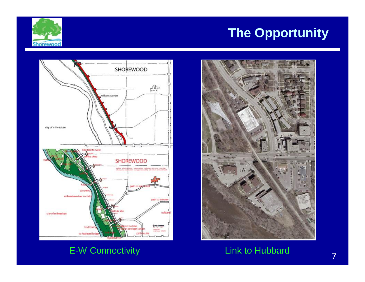



### E-W Connectivity **Link to Hubbard**

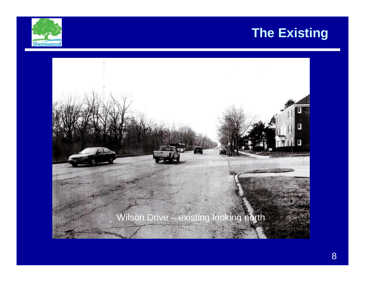## **The Existing**



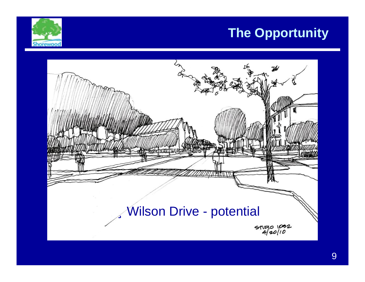

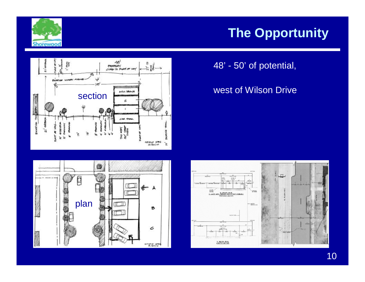





### west of Wilson Drive



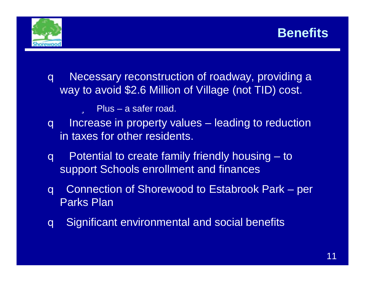



- q Necessary reconstruction of roadway, providing a way to avoid \$2.6 Million of Village (not TID) cost.
	- ü Plus a safer road.
- q Increase in property values leading to reduction in taxes for other residents.
- q Potential to create family friendly housing to support Schools enrollment and finances
- q Connection of Shorewood to Estabrook Park per Parks Plan
- q Significant environmental and social benefits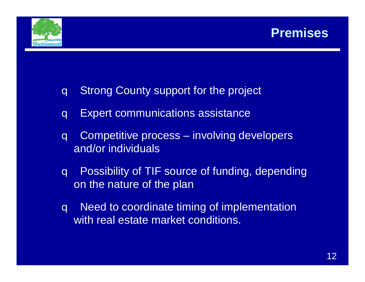



- q Strong County support for the project
- q Expert communications assistance
- q Competitive process involving developers and/or individuals
- q Possibility of TIF source of funding, depending on the nature of the plan
- q Need to coordinate timing of implementation with real estate market conditions.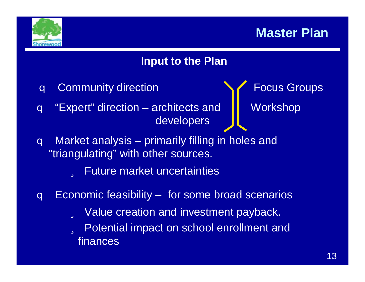

## **Master Plan**

### **Input to the Plan**

- q Community direction **System** Focus Groups
- q "Expert" direction architects and  $\|\cdot\|$  Workshop developers

- q Market analysis primarily filling in holes and "triangulating" with other sources.
	- ü Future market uncertainties
- q Economic feasibility for some broad scenarios ü Value creation and investment payback. ü Potential impact on school enrollment and finances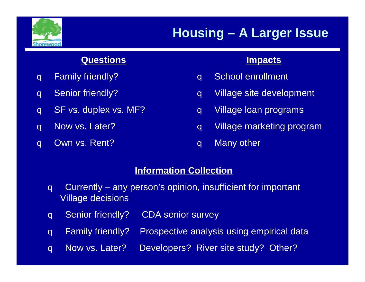

# **Housing – A Larger Issue**

### **Questions**

- q Family friendly?
- q Senior friendly?
- q SF vs. duplex vs. MF?
- q Now vs. Later?
- q Own vs. Rent?

### **Impacts**

- q School enrollment
- q Village site development
- q Village loan programs
- q Village marketing program
- q Many other

### **Information Collection**

- q Currently any person's opinion, insufficient for important Village decisions
- q Senior friendly? CDA senior survey
- q Family friendly? Prospective analysis using empirical data
- q Now vs. Later? Developers? River site study? Other?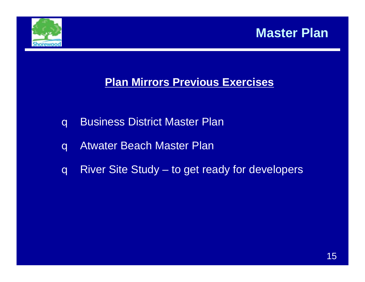



### **Plan Mirrors Previous Exercises**

- q Business District Master Plan
- q Atwater Beach Master Plan
- q River Site Study to get ready for developers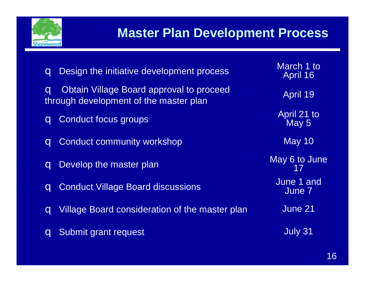

# **Master Plan Development Process**

| Design the initiative development process<br>$\overline{\mathbf{q}}$                                                 | March 1 to<br>April 16 |
|----------------------------------------------------------------------------------------------------------------------|------------------------|
| <b>Obtain Village Board approval to proceed</b><br>$\overline{\mathbf{q}}$<br>through development of the master plan | <b>April 19</b>        |
| Conduct focus groups<br>$\mathbf q$                                                                                  | April 21 to<br>May 5   |
| <b>Conduct community workshop</b><br>$\overline{\mathbf{q}}$                                                         | <b>May 10</b>          |
| Develop the master plan<br>$\mathbf{q}$                                                                              | May 6 to June          |
| <b>q</b> Conduct Village Board discussions                                                                           | June 1 and<br>June 7   |
| Village Board consideration of the master plan<br>$\mathbf{C}$                                                       | June 21                |
| Submit grant request                                                                                                 | July 31                |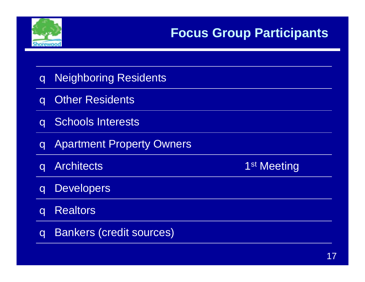

# **Focus Group Participants**

| <b>Neighboring Residents</b><br>$\overline{\mathbf{q}}$     |                         |
|-------------------------------------------------------------|-------------------------|
| <b>Other Residents</b><br>$\overline{a}$                    |                         |
| <b>q</b> Schools Interests                                  |                         |
| <b>Apartment Property Owners</b><br>$\overline{\mathbf{q}}$ |                         |
|                                                             |                         |
| <b>Architects</b><br>$\overline{\mathbf{q}}$                | 1 <sup>st</sup> Meeting |
| <b>Developers</b><br>$\overline{\mathbf{q}}$                |                         |
| <b>Realtors</b><br>$\overline{\mathbf{q}}$                  |                         |
| <b>Bankers (credit sources)</b><br>$\overline{\mathbf{q}}$  |                         |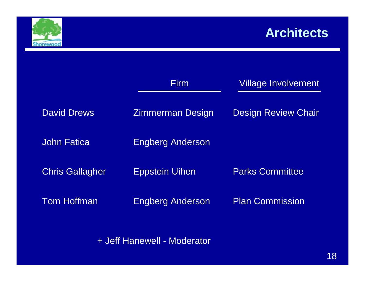

# **Architects**

|                        | Firm                    | <b>Village Involvement</b> |
|------------------------|-------------------------|----------------------------|
| <b>David Drews</b>     | <b>Zimmerman Design</b> | <b>Design Review Chair</b> |
| <b>John Fatica</b>     | <b>Engberg Anderson</b> |                            |
| <b>Chris Gallagher</b> | <b>Eppstein Uihen</b>   | <b>Parks Committee</b>     |
| <b>Tom Hoffman</b>     | <b>Engberg Anderson</b> | <b>Plan Commission</b>     |
|                        |                         |                            |

+ Jeff Hanewell - Moderator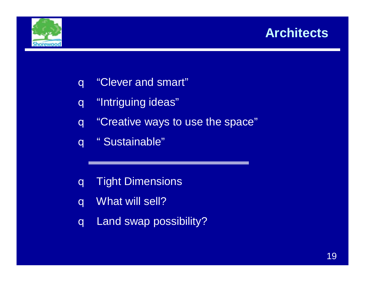### **Architects**



- q "Clever and smart"
- q "Intriguing ideas"
- q "Creative ways to use the space"
- q " Sustainable"
- q Tight Dimensions
- q What will sell?
- q Land swap possibility?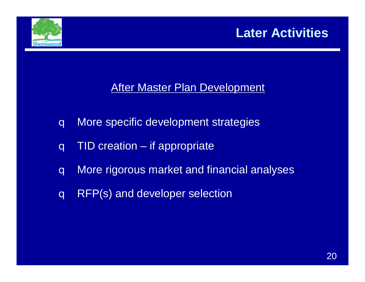

# **Later Activities**

### **After Master Plan Development**

- q More specific development strategies
- q TID creation if appropriate
- q More rigorous market and financial analyses
- q RFP(s) and developer selection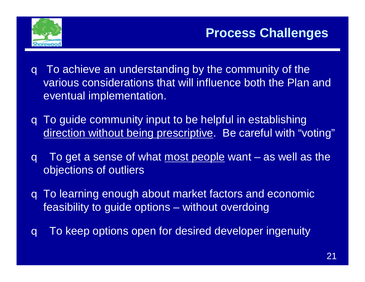

- q To achieve an understanding by the community of the various considerations that will influence both the Plan and eventual implementation.
- q To guide community input to be helpful in establishing direction without being prescriptive. Be careful with "voting"
- q To get a sense of what most people want as well as the objections of outliers
- q To learning enough about market factors and economic feasibility to guide options – without overdoing
- q To keep options open for desired developer ingenuity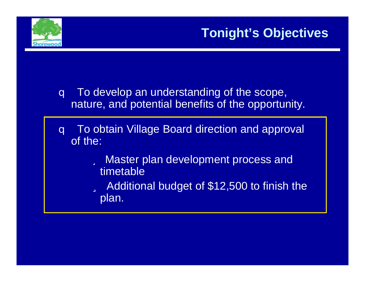

# **Tonight's Objectives**

- q To develop an understanding of the scope, nature, and potential benefits of the opportunity.
- q To obtain Village Board direction and approval of the:
	- ü Master plan development process and timetable
	- ü Additional budget of \$12,500 to finish the plan.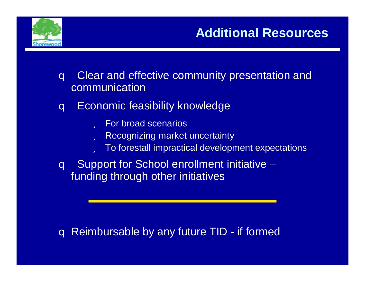

## **Additional Resources**

- q Clear and effective community presentation and communication
- q Economic feasibility knowledge
	- ü For broad scenarios
	- ü Recognizing market uncertainty
	- ü To forestall impractical development expectations
- q Support for School enrollment initiative funding through other initiatives

### q Reimbursable by any future TID - if formed